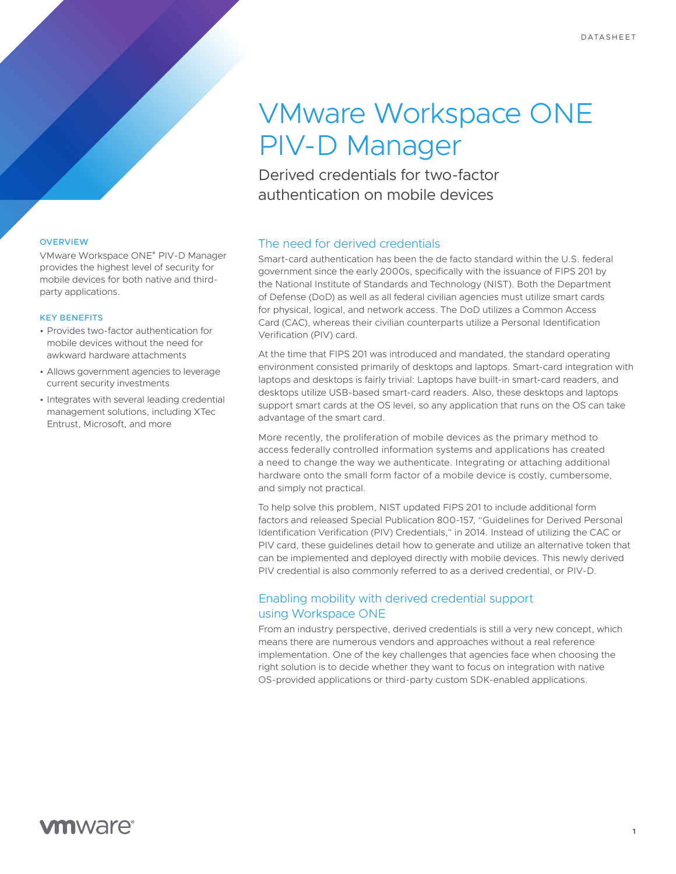# VMware Workspace ONE PIV-D Manager

Derived credentials for two-factor authentication on mobile devices

### The need for derived credentials

Smart-card authentication has been the de facto standard within the U.S. federal government since the early 2000s, specifically with the issuance of FIPS 201 by the National Institute of Standards and Technology (NIST). Both the Department of Defense (DoD) as well as all federal civilian agencies must utilize smart cards for physical, logical, and network access. The DoD utilizes a Common Access Card (CAC), whereas their civilian counterparts utilize a Personal Identification Verification (PIV) card.

At the time that FIPS 201 was introduced and mandated, the standard operating environment consisted primarily of desktops and laptops. Smart-card integration with laptops and desktops is fairly trivial: Laptops have built-in smart-card readers, and desktops utilize USB-based smart-card readers. Also, these desktops and laptops support smart cards at the OS level, so any application that runs on the OS can take advantage of the smart card.

More recently, the proliferation of mobile devices as the primary method to access federally controlled information systems and applications has created a need to change the way we authenticate. Integrating or attaching additional hardware onto the small form factor of a mobile device is costly, cumbersome, and simply not practical.

To help solve this problem, NIST updated FIPS 201 to include additional form factors and released Special Publication 800-157, "Guidelines for Derived Personal Identification Verification (PIV) Credentials," in 2014. Instead of utilizing the CAC or PIV card, these guidelines detail how to generate and utilize an alternative token that can be implemented and deployed directly with mobile devices. This newly derived PIV credential is also commonly referred to as a derived credential, or PIV-D.

## Enabling mobility with derived credential support using Workspace ONE

From an industry perspective, derived credentials is still a very new concept, which means there are numerous vendors and approaches without a real reference implementation. One of the key challenges that agencies face when choosing the right solution is to decide whether they want to focus on integration with native OS-provided applications or third-party custom SDK-enabled applications.

#### **OVERVIEW**

VMware Workspace ONE® PIV-D Manager provides the highest level of security for mobile devices for both native and thirdparty applications.

#### KEY BENEFITS

- Provides two-factor authentication for mobile devices without the need for awkward hardware attachments
- Allows government agencies to leverage current security investments
- Integrates with several leading credential management solutions, including XTec Entrust, Microsoft, and more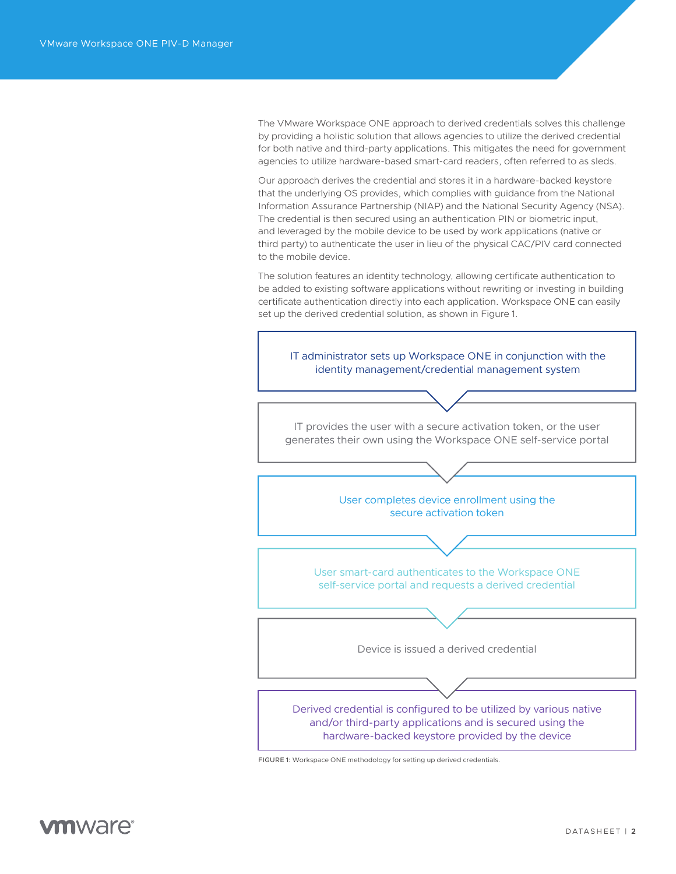The VMware Workspace ONE approach to derived credentials solves this challenge by providing a holistic solution that allows agencies to utilize the derived credential for both native and third-party applications. This mitigates the need for government agencies to utilize hardware-based smart-card readers, often referred to as sleds.

Our approach derives the credential and stores it in a hardware-backed keystore that the underlying OS provides, which complies with guidance from the National Information Assurance Partnership (NIAP) and the National Security Agency (NSA). The credential is then secured using an authentication PIN or biometric input, and leveraged by the mobile device to be used by work applications (native or third party) to authenticate the user in lieu of the physical CAC/PIV card connected to the mobile device.

The solution features an identity technology, allowing certificate authentication to be added to existing software applications without rewriting or investing in building certificate authentication directly into each application. Workspace ONE can easily set up the derived credential solution, as shown in Figure 1.



FIGURE 1: Workspace ONE methodology for setting up derived credentials.